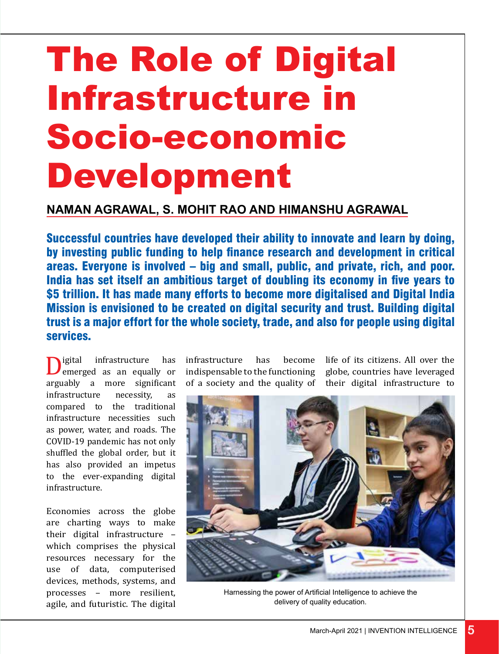# The Role of Digital Infrastructure in Socio-economic Development

#### **Naman Agrawal, S. Mohit Rao and Himanshu Agrawal**

Successful countries have developed their ability to innovate and learn by doing, by investing public funding to help finance research and development in critical areas. Everyone is involved – big and small, public, and private, rich, and poor. India has set itself an ambitious target of doubling its economy in five years to \$5 trillion. It has made many efforts to become more digitalised and Digital India Mission is envisioned to be created on digital security and trust. Building digital trust is a major effort for the whole society, trade, and also for people using digital services.

**D**igital infrastructure has<br>arguably a more significant emerged as an equally or infrastructure necessity, as compared to the traditional infrastructure necessities such as power, water, and roads. The COVID-19 pandemic has not only shuffled the global order, but it has also provided an impetus to the ever-expanding digital infrastructure.

Economies across the globe are charting ways to make their digital infrastructure – which comprises the physical resources necessary for the use of data, computerised devices, methods, systems, and processes – more resilient, agile, and futuristic. The digital

infrastructure has become indispensable to the functioning of a society and the quality of

life of its citizens. All over the globe, countries have leveraged their digital infrastructure to



Harnessing the power of Artificial Intelligence to achieve the delivery of quality education.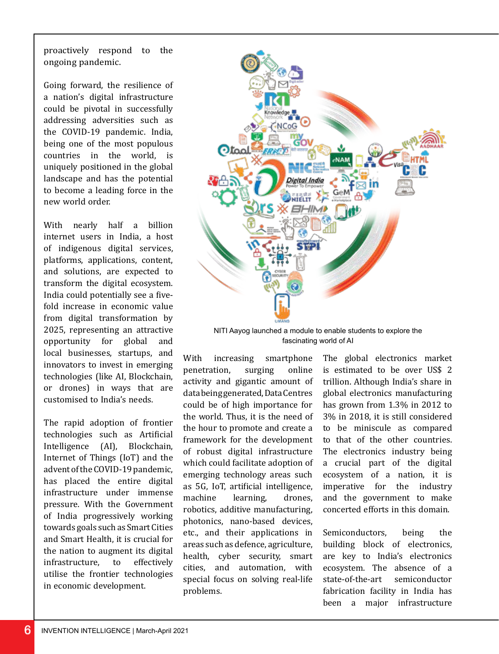proactively respond to the ongoing pandemic.

Going forward, the resilience of a nation's digital infrastructure could be pivotal in successfully addressing adversities such as the COVID-19 pandemic. India, being one of the most populous countries in the world, is uniquely positioned in the global landscape and has the potential to become a leading force in the new world order.

With nearly half a billion internet users in India, a host of indigenous digital services, platforms, applications, content, and solutions, are expected to transform the digital ecosystem. India could potentially see a fivefold increase in economic value from digital transformation by 2025, representing an attractive<br>opportunity for global and opportunity for global local businesses, startups, and innovators to invest in emerging technologies (like AI, Blockchain, or drones) in ways that are customised to India's needs.

The rapid adoption of frontier technologies such as Artificial<br>Intelligence (AI). Blockchain.  $Intelligence (AI),$ Internet of Things (IoT) and the advent of the COVID-19 pandemic, has placed the entire digital infrastructure under immense pressure. With the Government of India progressively working towards goals such as Smart Cities and Smart Health, it is crucial for the nation to augment its digital<br>infrastructure, to effectively infrastructure. to utilise the frontier technologies in economic development.



NITI Aayog launched a module to enable students to explore the fascinating world of AI

With increasing smartphone<br>penetration, surging online penetration, surging activity and gigantic amount of data being generated, Data Centres could be of high importance for the world. Thus, it is the need of the hour to promote and create a framework for the development of robust digital infrastructure which could facilitate adoption of emerging technology areas such as 5G, IoT, artificial intelligence, learning. robotics, additive manufacturing, photonics, nano-based devices, etc., and their applications in areas such as defence, agriculture, health, cyber security, smart cities, and automation, with special focus on solving real-life problems.

The global electronics market is estimated to be over US\$ 2 trillion. Although India's share in global electronics manufacturing has grown from 1.3% in 2012 to 3% in 2018, it is still considered to be miniscule as compared to that of the other countries. The electronics industry being a crucial part of the digital ecosystem of a nation, it is imperative for the industry and the government to make concerted efforts in this domain.

Semiconductors, being the building block of electronics, are key to India's electronics ecosystem. The absence of a<br>state-of-the-art semiconductor state-of-the-art fabrication facility in India has been a major infrastructure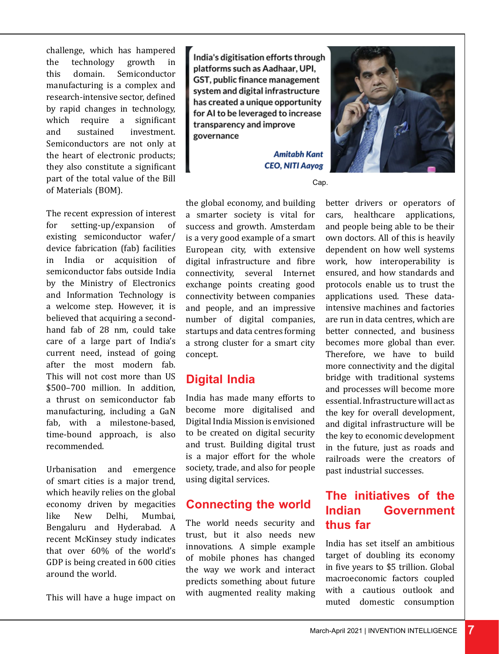challenge, which has hampered<br>the technology growth in the technology<br>this domain. Semiconductor manufacturing is a complex and research-intensive sector, defined by rapid changes in technology,<br>which require a significant which require a<br>and sustained i investment. Semiconductors are not only at the heart of electronic products; they also constitute a significant part of the total value of the Bill of Materials (BOM).

The recent expression of interest<br>for setting-up/expansion of setting-up/expansion of existing semiconductor wafer/ device fabrication (fab) facilities in India or acquisition of semiconductor fabs outside India by the Ministry of Electronics and Information Technology is a welcome step. However, it is believed that acquiring a secondhand fab of 28 nm, could take care of a large part of India's current need, instead of going after the most modern fab. This will not cost more than US \$500–700 million. In addition, a thrust on semiconductor fab manufacturing, including a GaN fab, with a milestone-based, time-bound approach, is also recommended.

Urbanisation and emergence of smart cities is a major trend, which heavily relies on the global economy driven by megacities<br>like New Delhi. Mumbai. Mumbai. Bengaluru and Hyderabad. A recent McKinsey study indicates that over 60% of the world's GDP is being created in 600 cities around the world.

This will have a huge impact on

India's digitisation efforts through platforms such as Aadhaar, UPI, GST, public finance management system and digital infrastructure has created a unique opportunity for AI to be leveraged to increase transparency and improve governance

> **Amitabh Kant CEO, NITI Aayog**



Cap.

the global economy, and building a smarter society is vital for success and growth. Amsterdam is a very good example of a smart European city, with extensive digital infrastructure and fibre connectivity, several Internet exchange points creating good connectivity between companies and people, and an impressive number of digital companies, startups and data centres forming a strong cluster for a smart city concept.

#### **Digital India**

India has made many efforts to become more digitalised and Digital India Mission is envisioned to be created on digital security and trust. Building digital trust is a major effort for the whole society, trade, and also for people using digital services.

## **Connecting the world**

The world needs security and trust, but it also needs new innovations. A simple example of mobile phones has changed the way we work and interact predicts something about future with augmented reality making better drivers or operators of cars, healthcare applications, and people being able to be their own doctors. All of this is heavily dependent on how well systems work, how interoperability is ensured, and how standards and protocols enable us to trust the applications used. These dataintensive machines and factories are run in data centres, which are better connected, and business becomes more global than ever. Therefore, we have to build more connectivity and the digital bridge with traditional systems and processes will become more essential. Infrastructure will act as the key for overall development, and digital infrastructure will be the key to economic development in the future, just as roads and railroads were the creators of past industrial successes.

# **The initiatives of the Indian Government thus far**

India has set itself an ambitious target of doubling its economy in five years to \$5 trillion. Global macroeconomic factors coupled with a cautious outlook and muted domestic consumption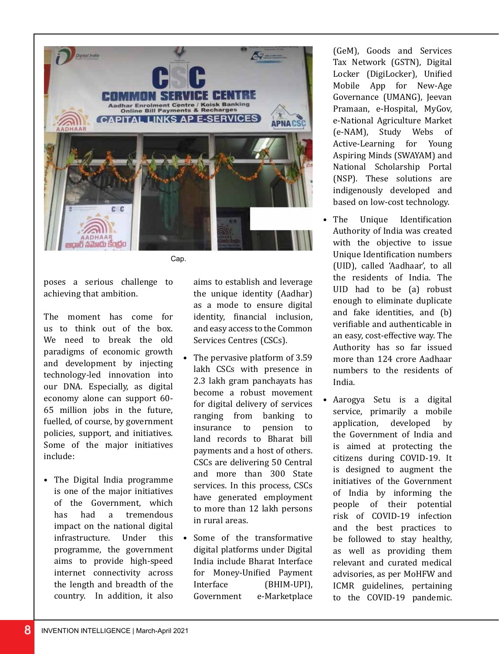

poses a serious challenge to achieving that ambition.

The moment has come for us to think out of the box. We need to break the old paradigms of economic growth and development by injecting technology-led innovation into our DNA. Especially, as digital economy alone can support 60- 65 million jobs in the future, fuelled, of course, by government policies, support, and initiatives. Some of the major initiatives include:

• The Digital India programme is one of the major initiatives of the Government, which<br>has had a tremendous has had a tremendous impact on the national digital<br>infrastructure. Under this infrastructure. programme, the government aims to provide high-speed internet connectivity across the length and breadth of the country. In addition, it also

aims to establish and leverage the unique identity (Aadhar) as a mode to ensure digital identity, financial inclusion, and easy access to the Common Services Centres (CSCs).

- The pervasive platform of 3.59 lakh CSCs with presence in 2.3 lakh gram panchayats has become a robust movement for digital delivery of services ranging from banking to<br>insurance to pension to insurance to pension to land records to Bharat bill payments and a host of others. CSCs are delivering 50 Central and more than 300 State services. In this process, CSCs have generated employment to more than 12 lakh persons in rural areas.
- Some of the transformative digital platforms under Digital India include Bharat Interface for Money-Unified Payment<br>Interface (BHIM-UPI). Interface (BHIM-UPI),<br>Government e-Marketplace e-Marketplace

(GeM), Goods and Services Tax Network (GSTN), Digital Locker (DigiLocker), Unified Mobile App for New-Age Governance (UMANG), Jeevan Pramaan, e-Hospital, MyGov, e-National Agriculture Market (e-NAM), Study Webs of Active-Learning for Aspiring Minds (SWAYAM) and National Scholarship Portal (NSP). These solutions are indigenously developed and based on low-cost technology.

- The Unique Identification Authority of India was created with the objective to issue Unique Identification numbers (UID), called 'Aadhaar', to all the residents of India. The UID had to be (a) robust enough to eliminate duplicate and fake identities, and (b) verifiable and authenticable in an easy, cost-effective way. The Authority has so far issued more than 124 crore Aadhaar numbers to the residents of India.
- Aarogya Setu is a digital service, primarily a mobile<br>application, developed by application, developed by the Government of India and is aimed at protecting the citizens during COVID-19. It is designed to augment the initiatives of the Government of India by informing the people of their potential risk of COVID-19 infection and the best practices to be followed to stay healthy, as well as providing them relevant and curated medical advisories, as per MoHFW and ICMR guidelines, pertaining to the COVID-19 pandemic.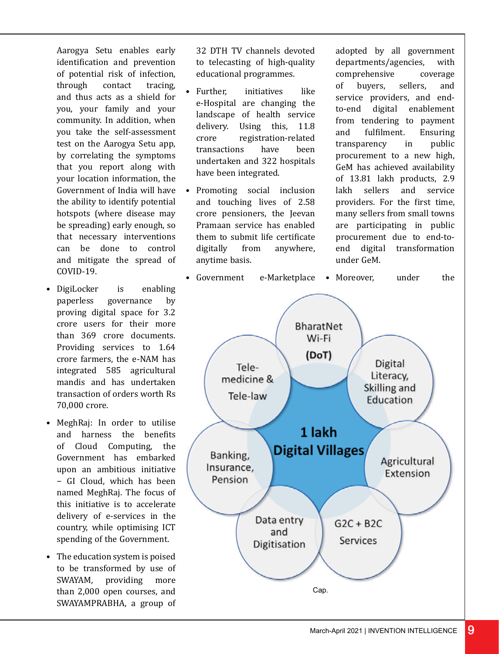Aarogya Setu enables early identification and prevention of potential risk of infection,<br>through contact tracing. through and thus acts as a shield for you, your family and your community. In addition, when you take the self-assessment test on the Aarogya Setu app, by correlating the symptoms that you report along with your location information, the Government of India will have the ability to identify potential hotspots (where disease may be spreading) early enough, so that necessary interventions can be done to control and mitigate the spread of COVID-19.

- DigiLocker is enabling<br>paperless governance by governance by proving digital space for 3.2 crore users for their more than 369 crore documents. Providing services to 1.64 crore farmers, the e-NAM has integrated 585 agricultural mandis and has undertaken transaction of orders worth Rs 70,000 crore.
- MeghRaj: In order to utilise and harness the benefits of Cloud Computing, the Government has embarked upon an ambitious initiative − GI Cloud, which has been named MeghRaj. The focus of this initiative is to accelerate delivery of e-services in the country, while optimising ICT spending of the Government.
- The education system is poised to be transformed by use of<br>SWAYAM. providing more providing more than 2,000 open courses, and SWAYAMPRABHA, a group of

32 DTH TV channels devoted to telecasting of high-quality educational programmes.

- Further, initiatives like e-Hospital are changing the landscape of health service<br>delivery. Using this. 11.8 delivery. Using this,<br>
crore registration-r registration-related<br>s have been transactions undertaken and 322 hospitals have been integrated.
- Promoting social inclusion and touching lives of 2.58 crore pensioners, the Jeevan Pramaan service has enabled them to submit life certificate<br>digitally from anywhere. anywhere, anytime basis.

adopted by all government departments/agencies, with<br>comprehensive coverage comprehensive coverage<br>of buvers. sellers. and buvers. service providers, and endto-end digital enablement from tendering to payment<br>and fulfilment. Ensuring and fulfilment. Ensuring<br>transparency in public transparency procurement to a new high, GeM has achieved availability of 13.81 lakh products, 2.9<br>lakh sellers and service sellers and service providers. For the first time, many sellers from small towns are participating in public procurement due to end-to-<br>end digital transformation digital transformation under GeM.

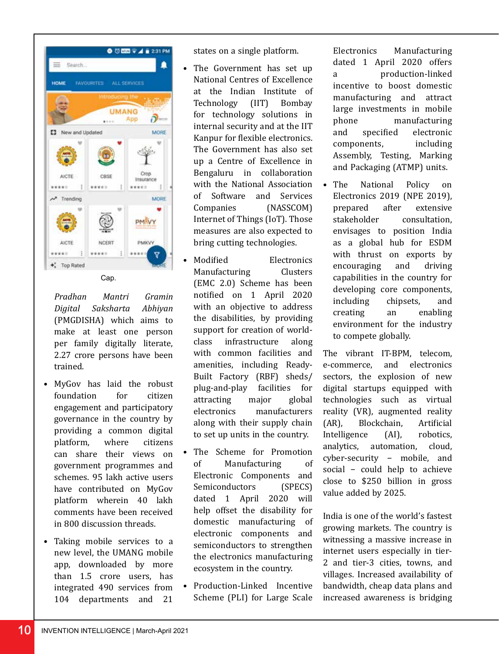



*Pradhan Mantri Gramin Digital Saksharta Abhiyan*  (PMGDISHA) which aims to make at least one person per family digitally literate, 2.27 crore persons have been trained.

- MyGov has laid the robust foundation engagement and participatory governance in the country by providing a common digital<br>platform. where citizens platform. can share their views on government programmes and schemes. 95 lakh active users have contributed on MyGov platform wherein 40 lakh comments have been received in 800 discussion threads.
- Taking mobile services to a new level, the UMANG mobile app, downloaded by more than 1.5 crore users, has integrated 490 services from 104 departments and 21

states on a single platform.

- The Government has set up National Centres of Excellence at the Indian Institute of<br>Technology (IIT) Bombay (IIT) Bombay for technology solutions in internal security and at the IIT Kanpur for flexible electronics. The Government has also set up a Centre of Excellence in Bengaluru in collaboration with the National Association of Software and Services<br>Companies (NASSCOM) (NASSCOM) Internet of Things (IoT). Those measures are also expected to bring cutting technologies.
	- **Modified** Electronics<br>
	Manufacturing Clusters Manufacturing (EMC 2.0) Scheme has been notified on 1 April 2020 with an objective to address the disabilities, by providing support for creation of world-<br>class infrastructure along infrastructure with common facilities and amenities, including Ready-Built Factory (RBF) sheds/ plug-and-play facilities for attracting<br>electronics manufacturers along with their supply chain to set up units in the country.
- The Scheme for Promotion<br>of Manufacturing of Manufacturing Electronic Components and Semiconductors (SPECS) dated 1 April 2020 will help offset the disability for domestic manufacturing of electronic components and semiconductors to strengthen the electronics manufacturing ecosystem in the country.
- Production-Linked Incentive Scheme (PLI) for Large Scale

Electronics Manufacturing dated 1 April 2020 offers a production-linked incentive to boost domestic manufacturing and attract large investments in mobile phone manufacturing<br>and specified electronic electronic<br>including components. Assembly, Testing, Marking and Packaging (ATMP) units.

• The National Policy on Electronics 2019 (NPE 2019),<br>prepared after extensive prepared<br>stakeholder consultation. envisages to position India as a global hub for ESDM with thrust on exports by<br>encouraging and driving encouraging capabilities in the country for developing core components,<br>including chinsets. and including<br>creating an enabling environment for the industry to compete globally.

The vibrant IT-BPM, telecom,<br>e-commerce. and electronics and electronics sectors, the explosion of new digital startups equipped with technologies such as virtual reality (VR), augmented reality<br>(AR). Blockchain. Artificial Blockchain, Artificial<br>
ice (AI), robotics, Intelligence (AI),<br>analytics, automati automation, cloud, cyber-security − mobile, and social - could help to achieve close to \$250 billion in gross value added by 2025.

India is one of the world's fastest growing markets. The country is witnessing a massive increase in internet users especially in tier-2 and tier-3 cities, towns, and villages. Increased availability of bandwidth, cheap data plans and increased awareness is bridging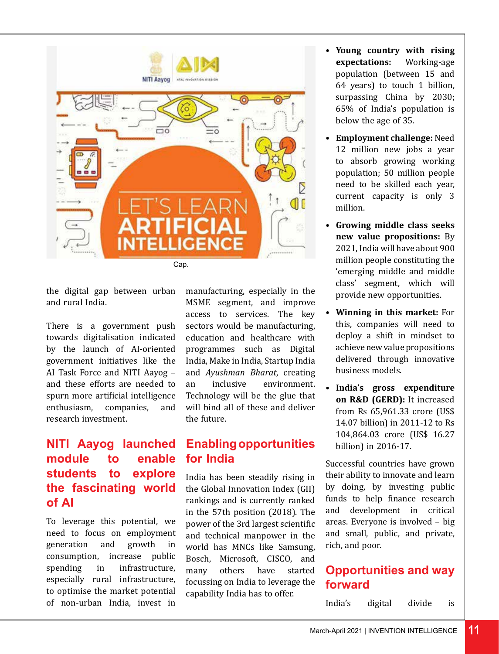

the digital gap between urban and rural India.

There is a government push towards digitalisation indicated by the launch of AI-oriented government initiatives like the AI Task Force and NITI Aayog – and these efforts are needed to spurn more artificial intelligence<br>enthusiasm. companies. and enthusiasm. research investment.

# **NITI Aayog launched module to enable students to explore the fascinating world of AI**

To leverage this potential, we need to focus on employment<br>generation and growth in generation and growth in consumption, increase public<br>spending in infrastructure. infrastructure. especially rural infrastructure, to optimise the market potential of non-urban India, invest in

manufacturing, especially in the MSME segment, and improve access to services. The key sectors would be manufacturing, education and healthcare with programmes such as Digital India, Make in India, Startup India and *Ayushman Bharat*, creating environment. Technology will be the glue that will bind all of these and deliver the future.

#### **Enabling opportunities for India**

India has been steadily rising in the Global Innovation Index (GII) rankings and is currently ranked in the 57th position (2018). The power of the 3rd largest scientific and technical manpower in the world has MNCs like Samsung, Bosch, Microsoft, CISCO, and<br>many others have started others have focussing on India to leverage the capability India has to offer.

- **Young country with rising expectations:** Working-age **expectations:** population (between 15 and 64 years) to touch 1 billion, surpassing China by 2030; 65% of India's population is below the age of 35.
- **Employment challenge:** Need 12 million new jobs a year to absorb growing working population; 50 million people need to be skilled each year, current capacity is only 3 million.
- **Growing middle class seeks new value propositions:** By 2021, India will have about 900 million people constituting the 'emerging middle and middle class' segment, which will provide new opportunities.
- **Winning in this market:** For this, companies will need to deploy a shift in mindset to achieve new value propositions delivered through innovative business models.
- **India's gross expenditure on R&D (GERD):** It increased from Rs 65,961.33 crore (US\$ 14.07 billion) in 2011-12 to Rs 104,864.03 crore (US\$ 16.27 billion) in 2016-17.

Successful countries have grown their ability to innovate and learn by doing, by investing public funds to help finance research and development in critical areas. Everyone is involved – big and small, public, and private, rich, and poor.

## **Opportunities and way forward**

India's digital divide is